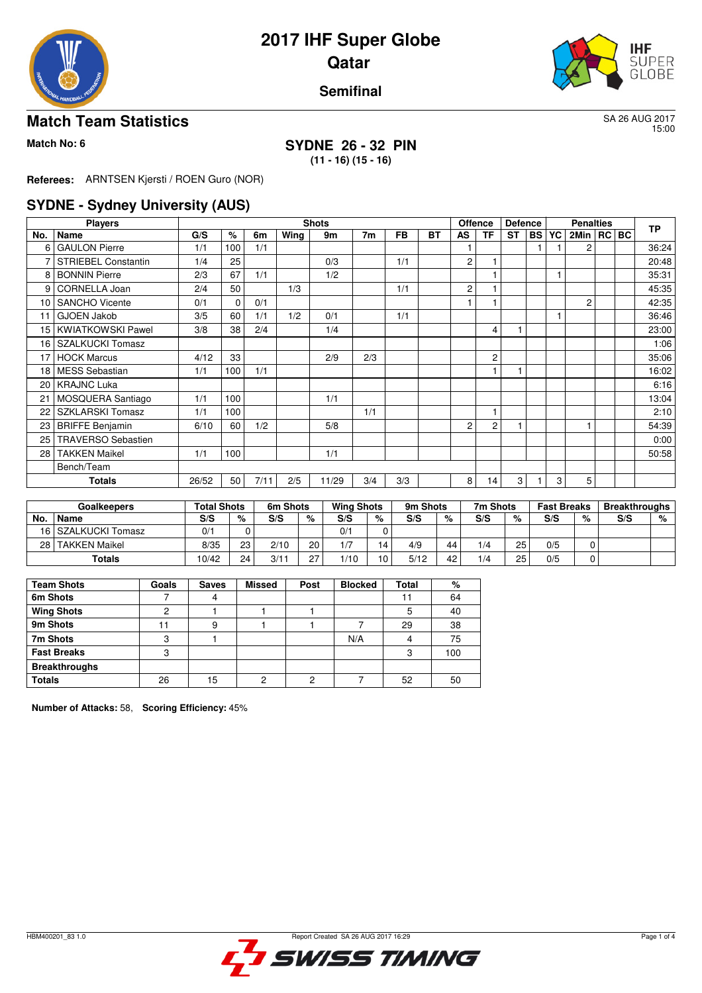



#### **Semifinal**

#### **Match Team Statistics** SA 26 AUG 2017

15:00

#### **Match No: 6 SYDNE 26 - 32 PIN (11 - 16) (15 - 16)**

**Referees:** ARNTSEN Kjersti / ROEN Guro (NOR)

### **SYDNE - Sydney University (AUS)**

|     | <b>Players</b>             |       | <b>Shots</b> |      |      |       |     |           |           |                |    |           | <b>Defence</b> | <b>Penalties</b> |                |  |  | <b>TP</b> |
|-----|----------------------------|-------|--------------|------|------|-------|-----|-----------|-----------|----------------|----|-----------|----------------|------------------|----------------|--|--|-----------|
| No. | ∣ Name                     | G/S   | %            | 6m   | Wing | 9m    | 7m  | <b>FB</b> | <b>BT</b> | <b>AS</b>      | TF | <b>ST</b> | <b>BS</b>      | YC               | 2Min   RC   BC |  |  |           |
| 6   | <b>GAULON Pierre</b>       | 1/1   | 100          | 1/1  |      |       |     |           |           |                |    |           |                |                  | 2              |  |  | 36:24     |
|     | <b>STRIEBEL Constantin</b> | 1/4   | 25           |      |      | 0/3   |     | 1/1       |           | $\overline{c}$ |    |           |                |                  |                |  |  | 20:48     |
| 8   | <b>BONNIN Pierre</b>       | 2/3   | 67           | 1/1  |      | 1/2   |     |           |           |                |    |           |                |                  |                |  |  | 35:31     |
| 9   | CORNELLA Joan              | 2/4   | 50           |      | 1/3  |       |     | 1/1       |           | 2              |    |           |                |                  |                |  |  | 45:35     |
| 10  | <b>SANCHO Vicente</b>      | 0/1   | 0            | 0/1  |      |       |     |           |           |                |    |           |                |                  | 2              |  |  | 42:35     |
| 11  | <b>GJOEN Jakob</b>         | 3/5   | 60           | 1/1  | 1/2  | 0/1   |     | 1/1       |           |                |    |           |                |                  |                |  |  | 36:46     |
| 15  | <b>KWIATKOWSKI Pawel</b>   | 3/8   | 38           | 2/4  |      | 1/4   |     |           |           |                | 4  |           |                |                  |                |  |  | 23:00     |
| 16  | <b>SZALKUCKI Tomasz</b>    |       |              |      |      |       |     |           |           |                |    |           |                |                  |                |  |  | 1:06      |
| 17  | <b>HOCK Marcus</b>         | 4/12  | 33           |      |      | 2/9   | 2/3 |           |           |                | 2  |           |                |                  |                |  |  | 35:06     |
| 18  | <b>MESS Sebastian</b>      | 1/1   | 100          | 1/1  |      |       |     |           |           |                |    |           |                |                  |                |  |  | 16:02     |
| 20  | <b>KRAJNC Luka</b>         |       |              |      |      |       |     |           |           |                |    |           |                |                  |                |  |  | 6:16      |
| 21  | MOSQUERA Santiago          | 1/1   | 100          |      |      | 1/1   |     |           |           |                |    |           |                |                  |                |  |  | 13:04     |
| 22  | <b>SZKLARSKI Tomasz</b>    | 1/1   | 100          |      |      |       | 1/1 |           |           |                |    |           |                |                  |                |  |  | 2:10      |
| 23  | <b>BRIFFE Benjamin</b>     | 6/10  | 60           | 1/2  |      | 5/8   |     |           |           | $\overline{c}$ | 2  |           |                |                  |                |  |  | 54:39     |
| 25  | <b>TRAVERSO Sebastien</b>  |       |              |      |      |       |     |           |           |                |    |           |                |                  |                |  |  | 0:00      |
| 28  | <b>TAKKEN Maikel</b>       | 1/1   | 100          |      |      | 1/1   |     |           |           |                |    |           |                |                  |                |  |  | 50:58     |
|     | Bench/Team                 |       |              |      |      |       |     |           |           |                |    |           |                |                  |                |  |  |           |
|     | <b>Totals</b>              | 26/52 | 50           | 7/11 | 2/5  | 11/29 | 3/4 | 3/3       |           | 8              | 14 | 3         |                | 3                | 5              |  |  |           |

| <b>Goalkeepers</b> |                      | <b>Total Shots</b> |    | 6m Shots           |    | <b>Wing Shots</b> |    | 9m Shots |    | 7m Shots |    | <b>Fast Breaks</b> |   | <b>Breakthroughs</b> |   |
|--------------------|----------------------|--------------------|----|--------------------|----|-------------------|----|----------|----|----------|----|--------------------|---|----------------------|---|
| No.                | <b>Name</b>          | S/S                | %  | S/S                | %  | S/S               | %  | S/S      | %  | S/S      | %  | S/S                | % | S/S                  | % |
|                    | 16 SZALKUCKI Tomasz  | 0'                 |    |                    |    | 0/1               |    |          |    |          |    |                    |   |                      |   |
| 28 I               | <b>TAKKEN Maikel</b> | 8/35               | 23 | 2/10               | 20 | 1/7               |    | 4/9      | 44 | 1/4      | 25 | 0/5                |   |                      |   |
|                    | Totals               | 10/42              | 24 | $3/1$ <sup>-</sup> | 27 | 1/10              | 10 | 5/12     | 42 | 1/4      | 25 | 0/5                |   |                      |   |

| <b>Team Shots</b>    | Goals | <b>Saves</b> | <b>Missed</b> | Post | <b>Blocked</b> | Total | %   |
|----------------------|-------|--------------|---------------|------|----------------|-------|-----|
| 6m Shots             |       |              |               |      |                |       | 64  |
| <b>Wing Shots</b>    | っ     |              |               |      |                | 5     | 40  |
| 9m Shots             |       |              |               |      |                | 29    | 38  |
| 7m Shots             | 3     |              |               |      | N/A            | 4     | 75  |
| <b>Fast Breaks</b>   | ◠     |              |               |      |                | 3     | 100 |
| <b>Breakthroughs</b> |       |              |               |      |                |       |     |
| <b>Totals</b>        | 26    | 15           | ŋ             | ົ    |                | 52    | 50  |

**Number of Attacks:** 58, **Scoring Efficiency:** 45%

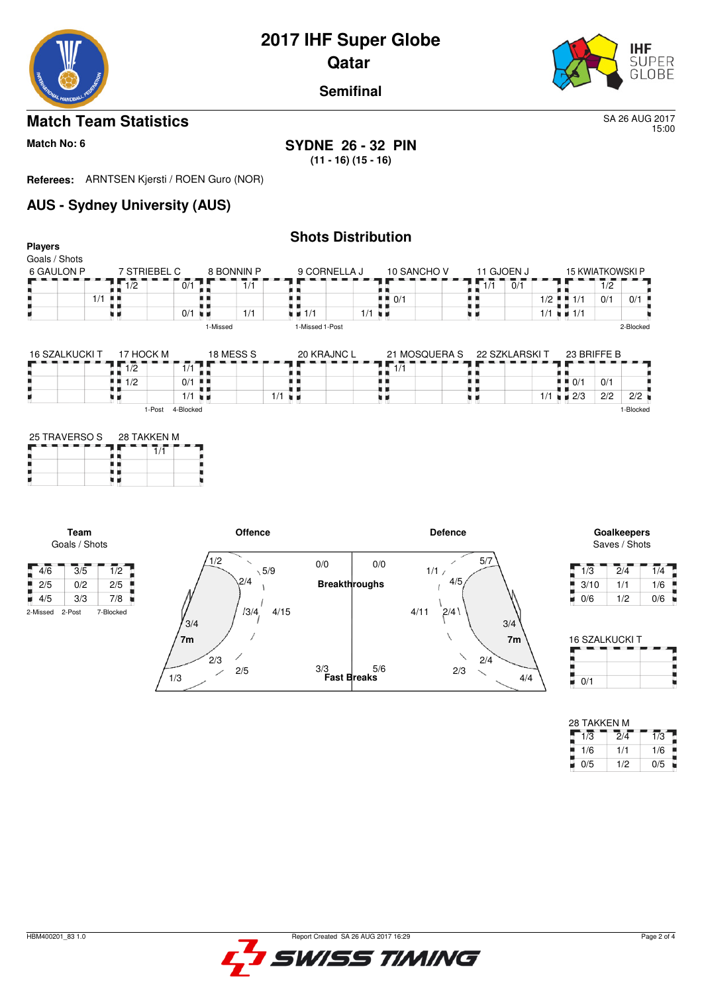

#### **Semifinal**

### **Match Team Statistics** SA 26 AUG 2017

15:00

#### **Match No: 6 SYDNE 26 - 32 PIN (11 - 16) (15 - 16)**

**Referees:** ARNTSEN Kjersti / ROEN Guro (NOR)

## **AUS - Sydney University (AUS)**

| <b>Players</b>              |                                       |                       |                                 |                                   | <b>Shots Distribution</b> |                                          |                  |                            |                                   |                                   |
|-----------------------------|---------------------------------------|-----------------------|---------------------------------|-----------------------------------|---------------------------|------------------------------------------|------------------|----------------------------|-----------------------------------|-----------------------------------|
| Goals / Shots<br>6 GAULON P | 7 STRIEBEL C                          |                       | 8 BONNIN P                      |                                   | 9 CORNELLA J              | 10 SANCHO V                              | 11 GJOEN J       |                            |                                   | <b>15 KWIATKOWSKI P</b>           |
|                             | 1/2                                   | 0/1                   | 1/1                             |                                   |                           |                                          | $\overline{1/1}$ | 0/1                        |                                   | $\overline{1}/\overline{2}$       |
|                             | $1/1$ $\blacksquare$                  |                       |                                 |                                   |                           | $\blacksquare$ $\blacksquare$ 0/1<br>. . | . .              | $1/2$ $\blacksquare$ $1/1$ |                                   | 0/1<br>0/1                        |
|                             | 9 H                                   | $0/1$ $\blacksquare$  | 1/1                             | $\blacksquare$ $\blacksquare$ 1/1 | $1/1$ $\blacksquare$      |                                          |                  | $1/1 = 1/1$                |                                   |                                   |
|                             |                                       |                       | 1-Missed                        | 1-Missed 1-Post                   |                           |                                          |                  |                            |                                   | 2-Blocked                         |
| <b>16 SZALKUCKI T</b>       | 17 HOCK M                             |                       | 18 MESS S                       |                                   | 20 KRAJNC L               | 21 MOSQUERA S                            |                  | 22 SZKLARSKI T             | 23 BRIFFE B                       |                                   |
|                             | $\overline{1/2}$                      | 1/1                   |                                 |                                   |                           | $\sqrt{1/1}$                             |                  |                            |                                   |                                   |
|                             | $\blacksquare$ 1/2                    | $0/1$                 |                                 |                                   |                           | . .                                      | י ב              | . .                        | $\blacksquare$ $\blacksquare$ 0/1 | 0/1                               |
|                             | M 19                                  | $1/1$ $\blacksquare$  |                                 | $1/1$ $\blacksquare$              |                           | . .<br>xи                                | ı ı<br>. .       | $1/1$ $\blacksquare$ 2/3   |                                   | 2/2<br>2/2                        |
|                             | $\overline{1}/\overline{1}$<br><br>xи |                       |                                 |                                   |                           |                                          |                  |                            |                                   |                                   |
| Team<br>Goals / Shots       |                                       |                       | <b>Offence</b>                  |                                   |                           |                                          | <b>Defence</b>   |                            |                                   | Goalkeepers<br>Saves / Shots      |
| 4/6<br>3/5                  | 1/2                                   |                       | 1/2<br>$\overline{\phantom{0}}$ | 0/0<br>$\sqrt{5/9}$               | 0/0                       | 1/1/                                     | 5/7              |                            | 1/3                               | $\overline{2}/\overline{4}$<br>1/ |
| 2/5<br>0/2                  | 2/5                                   |                       | 2/4                             |                                   | <b>Breakthroughs</b>      |                                          | 4/5              |                            | 3/10                              | 1/1<br>1/                         |
| 3/3<br>$\blacksquare$ 4/5   | 7/8<br>×                              |                       |                                 |                                   |                           |                                          |                  |                            | 0/6<br>u.                         | 1/2<br>0/                         |
| 2-Missed<br>2-Post          | 7-Blocked                             | 3/4<br>7 <sub>m</sub> | 13/4,                           | 4/15                              |                           | 4/11                                     | 2/4<br>3/4       | 7 <sub>m</sub>             |                                   | 16 SZALKLICKLT                    |



| 1/3  | 2/4 | 1/4 |
|------|-----|-----|
| 3/10 | 1/1 | 1/6 |
| 0/6  | 1/2 | 0/6 |

| 16 SZALKUCKI T |  |
|----------------|--|
|                |  |
|                |  |
| 0/1            |  |

| 28 TAKKEN M |     |     |  |  |  |  |  |  |  |
|-------------|-----|-----|--|--|--|--|--|--|--|
| 1/3         | 2/4 | 1/3 |  |  |  |  |  |  |  |
| 1/6         | 1/1 | 1/6 |  |  |  |  |  |  |  |
| 0/5         | 1/2 | 0/5 |  |  |  |  |  |  |  |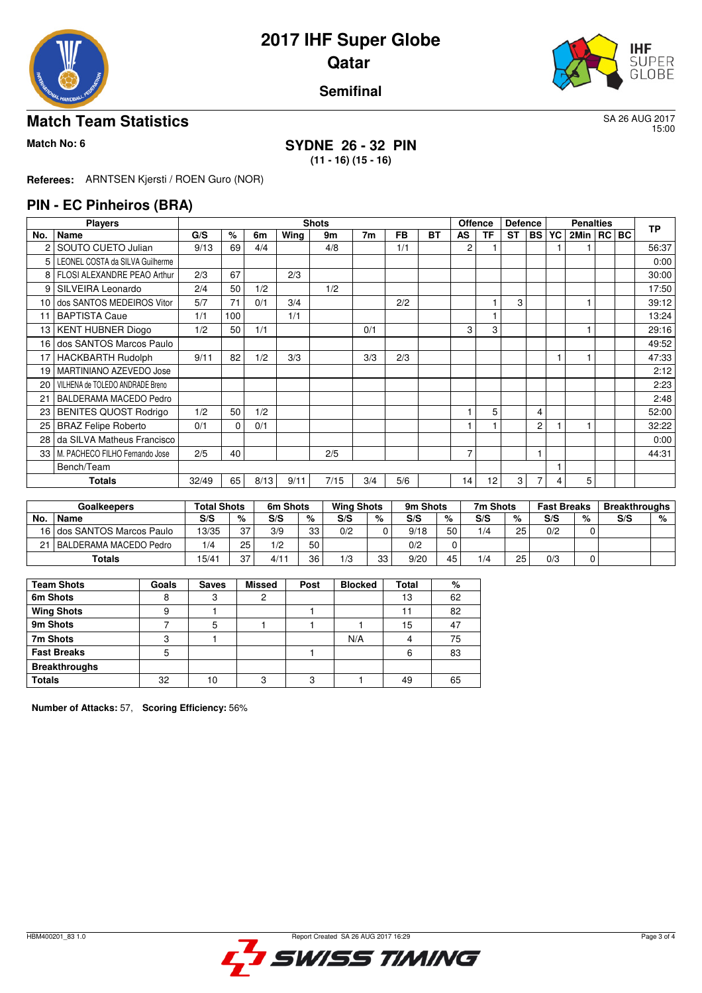



#### **Semifinal**

#### **Match Team Statistics** SA 26 AUG 2017

15:00

#### **Match No: 6 SYDNE 26 - 32 PIN (11 - 16) (15 - 16)**

**Referees:** ARNTSEN Kjersti / ROEN Guro (NOR)

#### **PIN - EC Pinheiros (BRA)**

|                 | <b>Players</b>                  |       | <b>Shots</b><br><b>Offence</b> |      |      |      |                |           |           |    |           |           | <b>Defence</b> | <b>Penalties</b> |                |  |  | <b>TP</b> |
|-----------------|---------------------------------|-------|--------------------------------|------|------|------|----------------|-----------|-----------|----|-----------|-----------|----------------|------------------|----------------|--|--|-----------|
| No.             | Name                            | G/S   | %                              | 6m   | Wing | 9m   | 7 <sub>m</sub> | <b>FB</b> | <b>BT</b> | AS | <b>TF</b> | <b>ST</b> | <b>BS</b>      | YC               | 2Min   RC   BC |  |  |           |
|                 | SOUTO CUETO Julian              | 9/13  | 69                             | 4/4  |      | 4/8  |                | 1/1       |           | 2  |           |           |                |                  |                |  |  | 56:37     |
| 5               | LEONEL COSTA da SILVA Guilherme |       |                                |      |      |      |                |           |           |    |           |           |                |                  |                |  |  | 0:00      |
| 8               | FLOSI ALEXANDRE PEAO Arthur     | 2/3   | 67                             |      | 2/3  |      |                |           |           |    |           |           |                |                  |                |  |  | 30:00     |
| 9               | SILVEIRA Leonardo               | 2/4   | 50                             | 1/2  |      | 1/2  |                |           |           |    |           |           |                |                  |                |  |  | 17:50     |
| 10 <sup>1</sup> | dos SANTOS MEDEIROS Vitor       | 5/7   | 71                             | 0/1  | 3/4  |      |                | 2/2       |           |    |           | 3         |                |                  |                |  |  | 39:12     |
| 11              | <b>BAPTISTA Caue</b>            | 1/1   | 100                            |      | 1/1  |      |                |           |           |    |           |           |                |                  |                |  |  | 13:24     |
| 13              | <b>KENT HUBNER Diogo</b>        | 1/2   | 50                             | 1/1  |      |      | 0/1            |           |           | 3  | 3         |           |                |                  |                |  |  | 29:16     |
| 16              | dos SANTOS Marcos Paulo         |       |                                |      |      |      |                |           |           |    |           |           |                |                  |                |  |  | 49:52     |
| 17              | <b>HACKBARTH Rudolph</b>        | 9/11  | 82                             | 1/2  | 3/3  |      | 3/3            | 2/3       |           |    |           |           |                |                  |                |  |  | 47:33     |
| 19              | MARTINIANO AZEVEDO Jose         |       |                                |      |      |      |                |           |           |    |           |           |                |                  |                |  |  | 2:12      |
| 20              | VILHENA de TOLEDO ANDRADE Breno |       |                                |      |      |      |                |           |           |    |           |           |                |                  |                |  |  | 2:23      |
| 21              | BALDERAMA MACEDO Pedro          |       |                                |      |      |      |                |           |           |    |           |           |                |                  |                |  |  | 2:48      |
| 23              | <b>BENITES QUOST Rodrigo</b>    | 1/2   | 50                             | 1/2  |      |      |                |           |           |    | 5         |           | 4              |                  |                |  |  | 52:00     |
| 25              | <b>BRAZ Felipe Roberto</b>      | 0/1   | $\Omega$                       | 0/1  |      |      |                |           |           |    |           |           | $\overline{c}$ |                  |                |  |  | 32:22     |
| 28              | da SILVA Matheus Francisco      |       |                                |      |      |      |                |           |           |    |           |           |                |                  |                |  |  | 0:00      |
| 33              | M. PACHECO FILHO Fernando Jose  | 2/5   | 40                             |      |      | 2/5  |                |           |           | 7  |           |           | 1              |                  |                |  |  | 44:31     |
|                 | Bench/Team                      |       |                                |      |      |      |                |           |           |    |           |           |                |                  |                |  |  |           |
|                 | Totals                          | 32/49 | 65                             | 8/13 | 9/11 | 7/15 | 3/4            | 5/6       |           | 14 | 12        | 3         |                | 4                | 5              |  |  |           |

|     | <b>Goalkeepers</b>         |       | Total Shots |     | 6m Shots | <b>Wing Shots</b> |    | 9m Shots |    | 7m Shots |    | <b>Fast Breaks</b> |   | <b>Breakthroughs</b> |   |
|-----|----------------------------|-------|-------------|-----|----------|-------------------|----|----------|----|----------|----|--------------------|---|----------------------|---|
| No. | <b>Name</b>                | S/S   | %           | S/S | %        | S/S               | %  | S/S      | %  | S/S      | %  | S/S                | % | S/S                  | % |
|     | 16 dos SANTOS Marcos Paulo | 13/35 | 27          | 3/9 | 33       | 0/2               |    | 9/18     | 50 | 1/4      | 25 | 0/2                |   |                      |   |
| つ1  | I BALDERAMA MACEDO Pedro   | 1/4   | 25          | 1/2 | 50       |                   |    | 0/2      | 0  |          |    |                    |   |                      |   |
|     | Totals                     | 15/4  | 27          | 4/1 | 36       | 1/3               | 33 | 9/20     | 45 | 1/4      | 25 | 0/3                |   |                      |   |

| <b>Team Shots</b>    | Goals | <b>Saves</b> | <b>Missed</b> | Post | <b>Blocked</b> | Total | %  |
|----------------------|-------|--------------|---------------|------|----------------|-------|----|
| 6m Shots             |       |              |               |      |                | 13    | 62 |
| <b>Wing Shots</b>    | 9     |              |               |      |                |       | 82 |
| 9m Shots             |       |              |               |      |                | 15    | 47 |
| 7m Shots             | ◠     |              |               |      | N/A            |       | 75 |
| <b>Fast Breaks</b>   | 5     |              |               |      |                | 6     | 83 |
| <b>Breakthroughs</b> |       |              |               |      |                |       |    |
| <b>Totals</b>        | 32    | 10           | റ             | ≏    |                | 49    | 65 |

**Number of Attacks:** 57, **Scoring Efficiency:** 56%